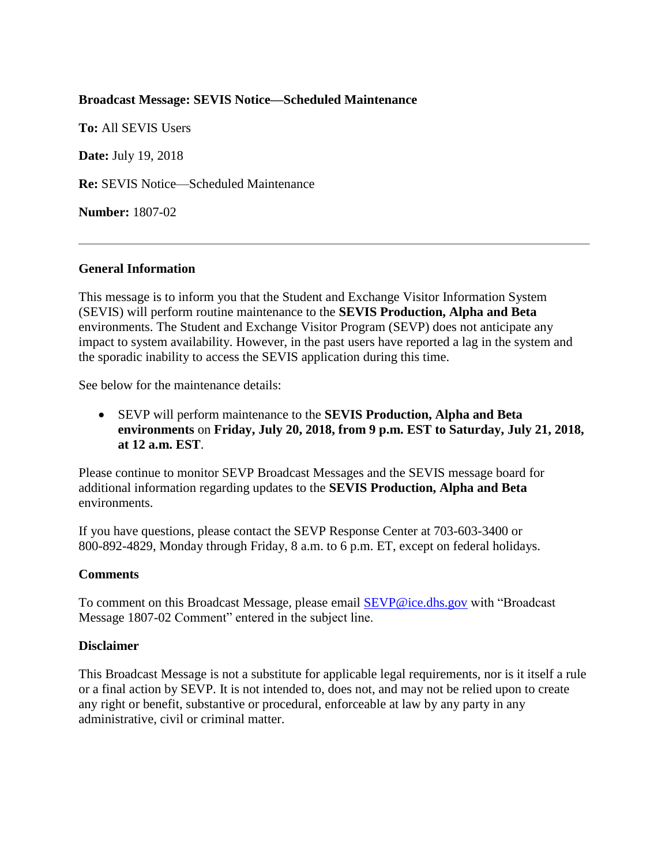## **Broadcast Message: SEVIS Notice—Scheduled Maintenance**

**To:** All SEVIS Users **Date:** July 19, 2018 **Re:** SEVIS Notice—Scheduled Maintenance **Number:** 1807-02

## **General Information**

This message is to inform you that the Student and Exchange Visitor Information System (SEVIS) will perform routine maintenance to the **SEVIS Production, Alpha and Beta** environments. The Student and Exchange Visitor Program (SEVP) does not anticipate any impact to system availability. However, in the past users have reported a lag in the system and the sporadic inability to access the SEVIS application during this time.

See below for the maintenance details:

• SEVP will perform maintenance to the **SEVIS Production, Alpha and Beta environments** on **Friday, July 20, 2018, from 9 p.m. EST to Saturday, July 21, 2018, at 12 a.m. EST**.

Please continue to monitor SEVP Broadcast Messages and the SEVIS message board for additional information regarding updates to the **SEVIS Production, Alpha and Beta** environments.

If you have questions, please contact the SEVP Response Center at 703-603-3400 or 800-892-4829, Monday through Friday, 8 a.m. to 6 p.m. ET, except on federal holidays.

## **Comments**

To comment on this Broadcast Message, please email [SEVP@ice.dhs.gov](mailto:SEVP@ice.dhs.gov) with "Broadcast Message 1807-02 Comment" entered in the subject line.

## **Disclaimer**

This Broadcast Message is not a substitute for applicable legal requirements, nor is it itself a rule or a final action by SEVP. It is not intended to, does not, and may not be relied upon to create any right or benefit, substantive or procedural, enforceable at law by any party in any administrative, civil or criminal matter.